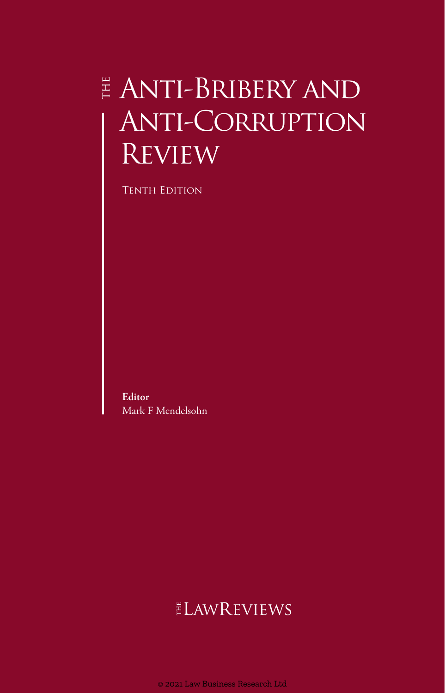# $\overset{\scriptscriptstyle \pm}{\scriptscriptstyle \mp}$  ANTI-BRIBERY AND Anti-Corruption Review

Tenth Edition

**Editor** Mark F Mendelsohn

# ELAWREVIEWS

© 2021 Law Business Research Ltd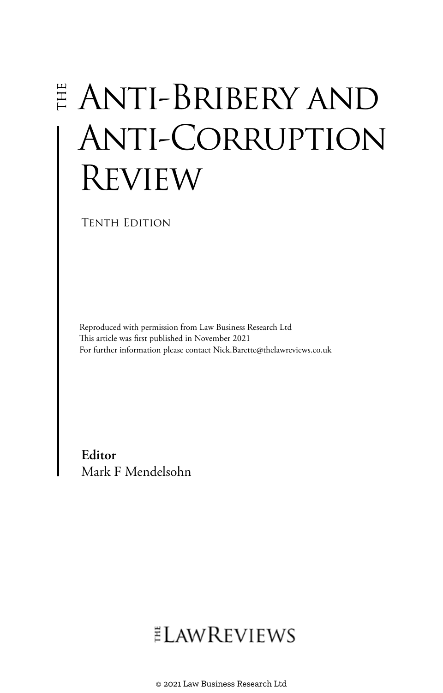# Anti-Bribery and Anti-Corruption **REVIEW**

Tenth Edition

Reproduced with permission from Law Business Research Ltd This article was first published in November 2021 For further information please contact Nick.Barette@thelawreviews.co.uk

**Editor** Mark F Mendelsohn

# **ELAWREVIEWS**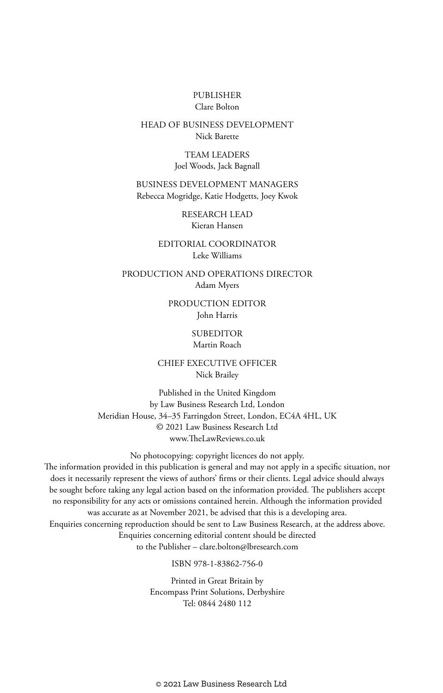#### PUBLISHER Clare Bolton

#### HEAD OF BUSINESS DEVELOPMENT Nick Barette

TEAM LEADERS Joel Woods, Jack Bagnall

BUSINESS DEVELOPMENT MANAGERS Rebecca Mogridge, Katie Hodgetts, Joey Kwok

> RESEARCH LEAD Kieran Hansen

EDITORIAL COORDINATOR Leke Williams

PRODUCTION AND OPERATIONS DIRECTOR Adam Myers

> PRODUCTION EDITOR John Harris

#### **SUBEDITOR**

#### Martin Roach

CHIEF EXECUTIVE OFFICER Nick Brailey

Published in the United Kingdom by Law Business Research Ltd, London Meridian House, 34–35 Farringdon Street, London, EC4A 4HL, UK © 2021 Law Business Research Ltd www.TheLawReviews.co.uk

No photocopying: copyright licences do not apply. The information provided in this publication is general and may not apply in a specific situation, nor does it necessarily represent the views of authors' firms or their clients. Legal advice should always be sought before taking any legal action based on the information provided. The publishers accept no responsibility for any acts or omissions contained herein. Although the information provided was accurate as at November 2021, be advised that this is a developing area. Enquiries concerning reproduction should be sent to Law Business Research, at the address above. Enquiries concerning editorial content should be directed to the Publisher – clare.bolton@lbresearch.com

ISBN 978-1-83862-756-0

Printed in Great Britain by Encompass Print Solutions, Derbyshire Tel: 0844 2480 112

© 2021 Law Business Research Ltd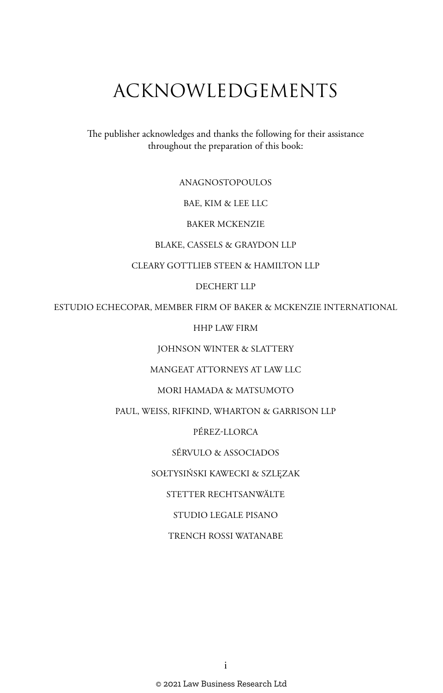# ACKNOWLEDGEMENTS

The publisher acknowledges and thanks the following for their assistance throughout the preparation of this book:

ANAGNOSTOPOULOS

BAE, KIM & LEE LLC

BAKER MCKENZIE

BLAKE, CASSELS & GRAYDON LLP

CLEARY GOTTLIEB STEEN & HAMILTON LLP

DECHERT LLP

ESTUDIO ECHECOPAR, MEMBER FIRM OF BAKER & MCKENZIE INTERNATIONAL

HHP LAW FIRM

JOHNSON WINTER & SLATTERY

MANGEAT ATTORNEYS AT LAW LLC

MORI HAMADA & MATSUMOTO

PAUL, WEISS, RIFKIND, WHARTON & GARRISON LLP

PÉREZ-LLORCA

SÉRVULO & ASSOCIADOS

SOŁTYSIŃSKI KAWECKI & SZLĘZAK

STETTER RECHTSANWÄLTE

STUDIO LEGALE PISANO

TRENCH ROSSI WATANABE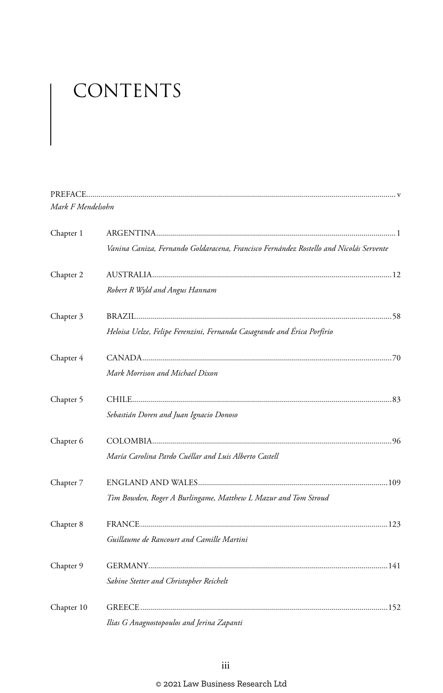# CONTENTS

| Mark F Mendelsohn |                                                                                        |  |
|-------------------|----------------------------------------------------------------------------------------|--|
| Chapter 1         |                                                                                        |  |
|                   | Vanina Caniza, Fernando Goldaracena, Francisco Fernández Rostello and Nicolás Servente |  |
| Chapter 2         |                                                                                        |  |
|                   | Robert R Wyld and Angus Hannam                                                         |  |
| Chapter 3         |                                                                                        |  |
|                   | Heloisa Uelze, Felipe Ferenzini, Fernanda Casagrande and Érica Porfírio                |  |
| Chapter 4         |                                                                                        |  |
|                   | Mark Morrison and Michael Dixon                                                        |  |
| Chapter 5         |                                                                                        |  |
|                   | Sebastián Doren and Juan Ignacio Donoso                                                |  |
| Chapter 6         |                                                                                        |  |
|                   | María Carolina Pardo Cuéllar and Luis Alberto Castell                                  |  |
| Chapter 7         |                                                                                        |  |
|                   | Tim Bowden, Roger A Burlingame, Matthew L Mazur and Tom Stroud                         |  |
| Chapter 8         |                                                                                        |  |
|                   | Guillaume de Rancourt and Camille Martini                                              |  |
| Chapter 9         |                                                                                        |  |
|                   | Sabine Stetter and Christopher Reichelt                                                |  |
| Chapter 10        |                                                                                        |  |
|                   | Ilias G Anagnostopoulos and Jerina Zapanti                                             |  |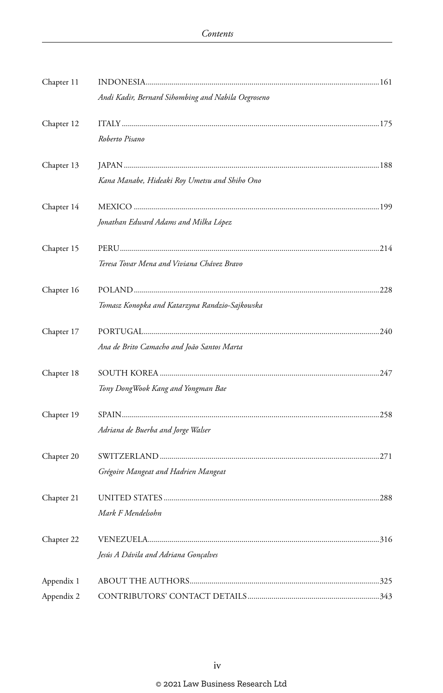| Chapter 11 |                                                    |  |
|------------|----------------------------------------------------|--|
|            | Andi Kadir, Bernard Sihombing and Nabila Oegroseno |  |
| Chapter 12 |                                                    |  |
|            | Roberto Pisano                                     |  |
| Chapter 13 |                                                    |  |
|            | Kana Manabe, Hideaki Roy Umetsu and Shiho Ono      |  |
| Chapter 14 |                                                    |  |
|            | Jonathan Edward Adams and Milka López              |  |
| Chapter 15 |                                                    |  |
|            | Teresa Tovar Mena and Viviana Chávez Bravo         |  |
| Chapter 16 |                                                    |  |
|            | Tomasz Konopka and Katarzyna Randzio-Sajkowska     |  |
| Chapter 17 |                                                    |  |
|            | Ana de Brito Camacho and João Santos Marta         |  |
| Chapter 18 |                                                    |  |
|            | Tony DongWook Kang and Yongman Bae                 |  |
| Chapter 19 |                                                    |  |
|            | Adriana de Buerba and Jorge Walser                 |  |
| Chapter 20 |                                                    |  |
|            | Grégoire Mangeat and Hadrien Mangeat               |  |
| Chapter 21 |                                                    |  |
|            | Mark F Mendelsohn                                  |  |
| Chapter 22 |                                                    |  |
|            | Jesús A Dávila and Adriana Gonçalves               |  |
| Appendix 1 |                                                    |  |
| Appendix 2 |                                                    |  |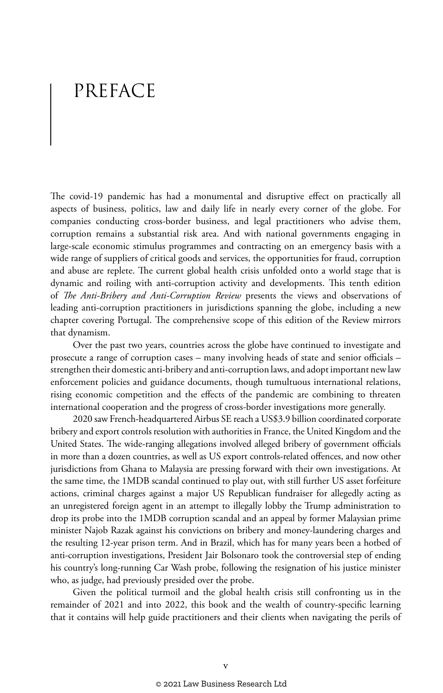# PREFACE

The covid-19 pandemic has had a monumental and disruptive effect on practically all aspects of business, politics, law and daily life in nearly every corner of the globe. For companies conducting cross-border business, and legal practitioners who advise them, corruption remains a substantial risk area. And with national governments engaging in large-scale economic stimulus programmes and contracting on an emergency basis with a wide range of suppliers of critical goods and services, the opportunities for fraud, corruption and abuse are replete. The current global health crisis unfolded onto a world stage that is dynamic and roiling with anti-corruption activity and developments. This tenth edition of *The Anti-Bribery and Anti-Corruption Review* presents the views and observations of leading anti-corruption practitioners in jurisdictions spanning the globe, including a new chapter covering Portugal. The comprehensive scope of this edition of the Review mirrors that dynamism.

Over the past two years, countries across the globe have continued to investigate and prosecute a range of corruption cases – many involving heads of state and senior officials – strengthen their domestic anti-bribery and anti-corruption laws, and adopt important new law enforcement policies and guidance documents, though tumultuous international relations, rising economic competition and the effects of the pandemic are combining to threaten international cooperation and the progress of cross-border investigations more generally.

2020 saw French-headquartered Airbus SE reach a US\$3.9 billion coordinated corporate bribery and export controls resolution with authorities in France, the United Kingdom and the United States. The wide-ranging allegations involved alleged bribery of government officials in more than a dozen countries, as well as US export controls-related offences, and now other jurisdictions from Ghana to Malaysia are pressing forward with their own investigations. At the same time, the 1MDB scandal continued to play out, with still further US asset forfeiture actions, criminal charges against a major US Republican fundraiser for allegedly acting as an unregistered foreign agent in an attempt to illegally lobby the Trump administration to drop its probe into the 1MDB corruption scandal and an appeal by former Malaysian prime minister Najob Razak against his convictions on bribery and money-laundering charges and the resulting 12-year prison term. And in Brazil, which has for many years been a hotbed of anti-corruption investigations, President Jair Bolsonaro took the controversial step of ending his country's long-running Car Wash probe, following the resignation of his justice minister who, as judge, had previously presided over the probe.

Given the political turmoil and the global health crisis still confronting us in the remainder of 2021 and into 2022, this book and the wealth of country-specific learning that it contains will help guide practitioners and their clients when navigating the perils of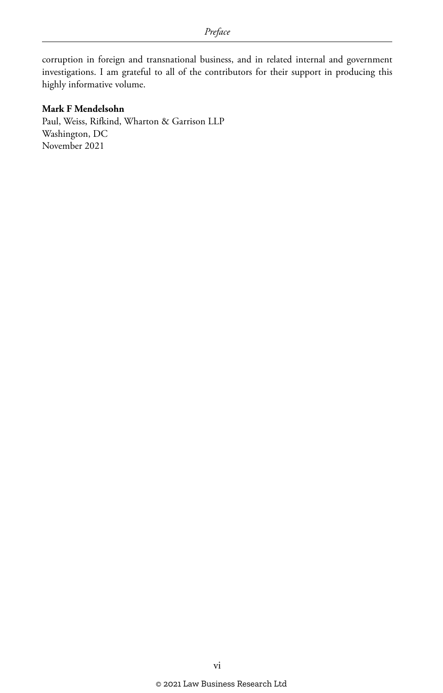corruption in foreign and transnational business, and in related internal and government investigations. I am grateful to all of the contributors for their support in producing this highly informative volume.

#### **Mark F Mendelsohn**

Paul, Weiss, Rifkind, Wharton & Garrison LLP Washington, DC November 2021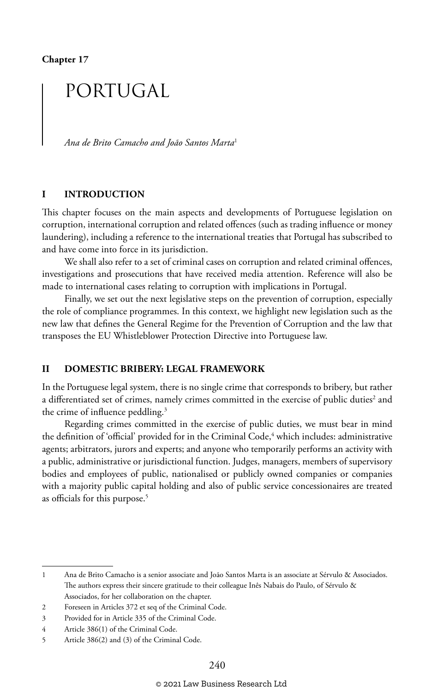**Chapter 17**

## PORTUGAL

*Ana de Brito Camacho and João Santos Marta*<sup>1</sup>

#### **I INTRODUCTION**

This chapter focuses on the main aspects and developments of Portuguese legislation on corruption, international corruption and related offences (such as trading influence or money laundering), including a reference to the international treaties that Portugal has subscribed to and have come into force in its jurisdiction.

We shall also refer to a set of criminal cases on corruption and related criminal offences, investigations and prosecutions that have received media attention. Reference will also be made to international cases relating to corruption with implications in Portugal.

Finally, we set out the next legislative steps on the prevention of corruption, especially the role of compliance programmes. In this context, we highlight new legislation such as the new law that defines the General Regime for the Prevention of Corruption and the law that transposes the EU Whistleblower Protection Directive into Portuguese law.

#### **II DOMESTIC BRIBERY: LEGAL FRAMEWORK**

In the Portuguese legal system, there is no single crime that corresponds to bribery, but rather a differentiated set of crimes, namely crimes committed in the exercise of public duties<sup>2</sup> and the crime of influence peddling.3

Regarding crimes committed in the exercise of public duties, we must bear in mind the definition of 'official' provided for in the Criminal Code,<sup>4</sup> which includes: administrative agents; arbitrators, jurors and experts; and anyone who temporarily performs an activity with a public, administrative or jurisdictional function. Judges, managers, members of supervisory bodies and employees of public, nationalised or publicly owned companies or companies with a majority public capital holding and also of public service concessionaires are treated as officials for this purpose.<sup>5</sup>

<sup>1</sup> Ana de Brito Camacho is a senior associate and João Santos Marta is an associate at Sérvulo & Associados. The authors express their sincere gratitude to their colleague Inês Nabais do Paulo, of Sérvulo & Associados, for her collaboration on the chapter.

<sup>2</sup> Foreseen in Articles 372 et seq of the Criminal Code.

<sup>3</sup> Provided for in Article 335 of the Criminal Code.

<sup>4</sup> Article 386(1) of the Criminal Code.

<sup>5</sup> Article 386(2) and (3) of the Criminal Code.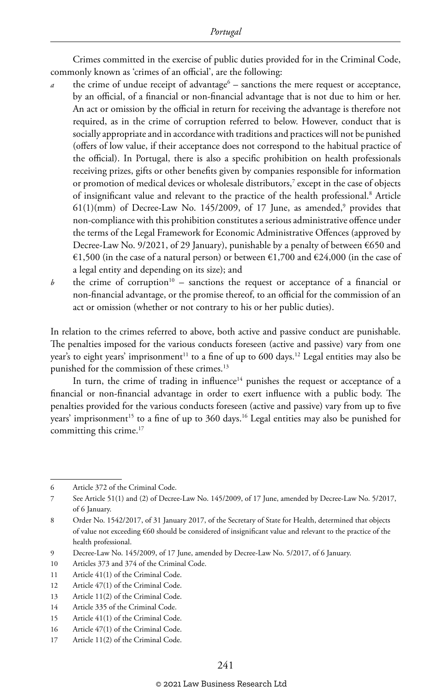Crimes committed in the exercise of public duties provided for in the Criminal Code, commonly known as 'crimes of an official', are the following:

- $\alpha$  the crime of undue receipt of advantage<sup>6</sup> sanctions the mere request or acceptance, by an official, of a financial or non-financial advantage that is not due to him or her. An act or omission by the official in return for receiving the advantage is therefore not required, as in the crime of corruption referred to below. However, conduct that is socially appropriate and in accordance with traditions and practices will not be punished (offers of low value, if their acceptance does not correspond to the habitual practice of the official). In Portugal, there is also a specific prohibition on health professionals receiving prizes, gifts or other benefits given by companies responsible for information or promotion of medical devices or wholesale distributors,7 except in the case of objects of insignificant value and relevant to the practice of the health professional.<sup>8</sup> Article  $61(1)(mm)$  of Decree-Law No. 145/2009, of 17 June, as amended, $^9$  provides that non-compliance with this prohibition constitutes a serious administrative offence under the terms of the Legal Framework for Economic Administrative Offences (approved by Decree-Law No. 9/2021, of 29 January), punishable by a penalty of between €650 and €1,500 (in the case of a natural person) or between €1,700 and €24,000 (in the case of a legal entity and depending on its size); and
- *b* the crime of corruption<sup>10</sup> sanctions the request or acceptance of a financial or non-financial advantage, or the promise thereof, to an official for the commission of an act or omission (whether or not contrary to his or her public duties).

In relation to the crimes referred to above, both active and passive conduct are punishable. The penalties imposed for the various conducts foreseen (active and passive) vary from one year's to eight years' imprisonment<sup>11</sup> to a fine of up to 600 days.<sup>12</sup> Legal entities may also be punished for the commission of these crimes.<sup>13</sup>

In turn, the crime of trading in influence $14}$  punishes the request or acceptance of a financial or non-financial advantage in order to exert influence with a public body. The penalties provided for the various conducts foreseen (active and passive) vary from up to five years' imprisonment<sup>15</sup> to a fine of up to  $360 \text{ days}$ .<sup>16</sup> Legal entities may also be punished for committing this crime.<sup>17</sup>

<sup>6</sup> Article 372 of the Criminal Code.

<sup>7</sup> See Article 51(1) and (2) of Decree-Law No. 145/2009, of 17 June, amended by Decree-Law No. 5/2017, of 6 January.

<sup>8</sup> Order No. 1542/2017, of 31 January 2017, of the Secretary of State for Health, determined that objects of value not exceeding €60 should be considered of insignificant value and relevant to the practice of the health professional.

<sup>9</sup> Decree-Law No. 145/2009, of 17 June, amended by Decree-Law No. 5/2017, of 6 January.

<sup>10</sup> Articles 373 and 374 of the Criminal Code.

<sup>11</sup> Article 41(1) of the Criminal Code.

<sup>12</sup> Article 47(1) of the Criminal Code.

<sup>13</sup> Article 11(2) of the Criminal Code.

<sup>14</sup> Article 335 of the Criminal Code.

<sup>15</sup> Article 41(1) of the Criminal Code.

<sup>16</sup> Article 47(1) of the Criminal Code.

<sup>17</sup> Article 11(2) of the Criminal Code.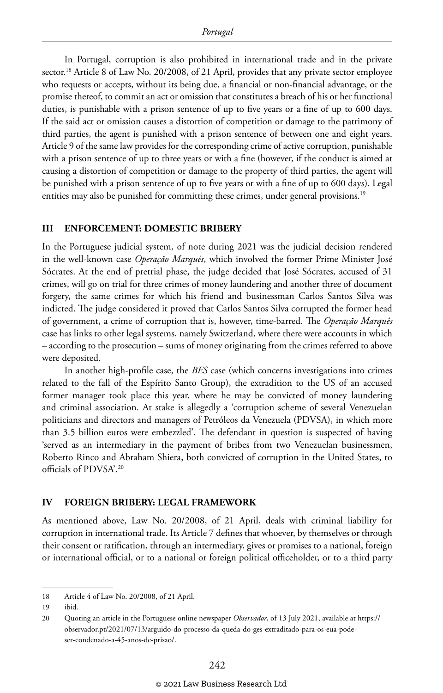In Portugal, corruption is also prohibited in international trade and in the private sector.<sup>18</sup> Article 8 of Law No. 20/2008, of 21 April, provides that any private sector employee who requests or accepts, without its being due, a financial or non-financial advantage, or the promise thereof, to commit an act or omission that constitutes a breach of his or her functional duties, is punishable with a prison sentence of up to five years or a fine of up to 600 days. If the said act or omission causes a distortion of competition or damage to the patrimony of third parties, the agent is punished with a prison sentence of between one and eight years. Article 9 of the same law provides for the corresponding crime of active corruption, punishable with a prison sentence of up to three years or with a fine (however, if the conduct is aimed at causing a distortion of competition or damage to the property of third parties, the agent will be punished with a prison sentence of up to five years or with a fine of up to 600 days). Legal entities may also be punished for committing these crimes, under general provisions.<sup>19</sup>

#### **III ENFORCEMENT: DOMESTIC BRIBERY**

In the Portuguese judicial system, of note during 2021 was the judicial decision rendered in the well-known case *Operação Marquês*, which involved the former Prime Minister José Sócrates. At the end of pretrial phase, the judge decided that José Sócrates, accused of 31 crimes, will go on trial for three crimes of money laundering and another three of document forgery, the same crimes for which his friend and businessman Carlos Santos Silva was indicted. The judge considered it proved that Carlos Santos Silva corrupted the former head of government, a crime of corruption that is, however, time-barred. The *Operação Marquês* case has links to other legal systems, namely Switzerland, where there were accounts in which – according to the prosecution – sums of money originating from the crimes referred to above were deposited.

In another high-profile case, the *BES* case (which concerns investigations into crimes related to the fall of the Espírito Santo Group), the extradition to the US of an accused former manager took place this year, where he may be convicted of money laundering and criminal association. At stake is allegedly a 'corruption scheme of several Venezuelan politicians and directors and managers of Petróleos da Venezuela (PDVSA), in which more than 3.5 billion euros were embezzled'. The defendant in question is suspected of having 'served as an intermediary in the payment of bribes from two Venezuelan businessmen, Roberto Rinco and Abraham Shiera, both convicted of corruption in the United States, to officials of PDVSA'.20

#### **IV FOREIGN BRIBERY: LEGAL FRAMEWORK**

As mentioned above, Law No. 20/2008, of 21 April, deals with criminal liability for corruption in international trade. Its Article 7 defines that whoever, by themselves or through their consent or ratification, through an intermediary, gives or promises to a national, foreign or international official, or to a national or foreign political officeholder, or to a third party

<sup>18</sup> Article 4 of Law No. 20/2008, of 21 April.

<sup>19</sup> ibid.

<sup>20</sup> Quoting an article in the Portuguese online newspaper *Observador*, of 13 July 2021, available at https:// observador.pt/2021/07/13/arguido-do-processo-da-queda-do-ges-extraditado-para-os-eua-podeser-condenado-a-45-anos-de-prisao/.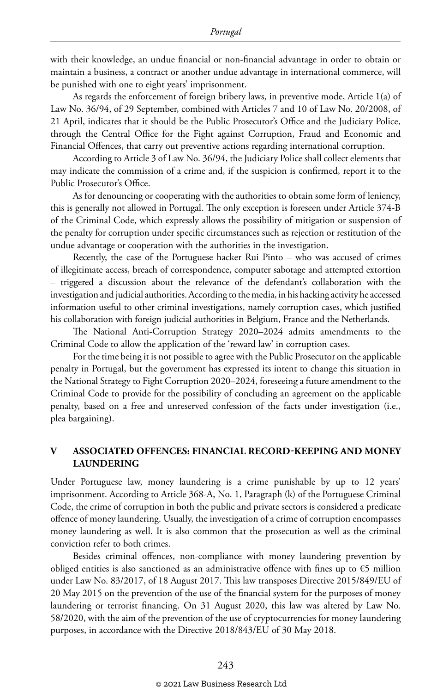with their knowledge, an undue financial or non-financial advantage in order to obtain or maintain a business, a contract or another undue advantage in international commerce, will be punished with one to eight years' imprisonment.

As regards the enforcement of foreign bribery laws, in preventive mode, Article 1(a) of Law No. 36/94, of 29 September, combined with Articles 7 and 10 of Law No. 20/2008, of 21 April, indicates that it should be the Public Prosecutor's Office and the Judiciary Police, through the Central Office for the Fight against Corruption, Fraud and Economic and Financial Offences, that carry out preventive actions regarding international corruption.

According to Article 3 of Law No. 36/94, the Judiciary Police shall collect elements that may indicate the commission of a crime and, if the suspicion is confirmed, report it to the Public Prosecutor's Office.

As for denouncing or cooperating with the authorities to obtain some form of leniency, this is generally not allowed in Portugal. The only exception is foreseen under Article 374-B of the Criminal Code, which expressly allows the possibility of mitigation or suspension of the penalty for corruption under specific circumstances such as rejection or restitution of the undue advantage or cooperation with the authorities in the investigation.

Recently, the case of the Portuguese hacker Rui Pinto – who was accused of crimes of illegitimate access, breach of correspondence, computer sabotage and attempted extortion – triggered a discussion about the relevance of the defendant's collaboration with the investigation and judicial authorities. According to the media, in his hacking activity he accessed information useful to other criminal investigations, namely corruption cases, which justified his collaboration with foreign judicial authorities in Belgium, France and the Netherlands.

The National Anti-Corruption Strategy 2020–2024 admits amendments to the Criminal Code to allow the application of the 'reward law' in corruption cases.

For the time being it is not possible to agree with the Public Prosecutor on the applicable penalty in Portugal, but the government has expressed its intent to change this situation in the National Strategy to Fight Corruption 2020–2024, foreseeing a future amendment to the Criminal Code to provide for the possibility of concluding an agreement on the applicable penalty, based on a free and unreserved confession of the facts under investigation (i.e., plea bargaining).

#### **V ASSOCIATED OFFENCES: FINANCIAL RECORD-KEEPING AND MONEY LAUNDERING**

Under Portuguese law, money laundering is a crime punishable by up to 12 years' imprisonment. According to Article 368-A, No. 1, Paragraph (k) of the Portuguese Criminal Code, the crime of corruption in both the public and private sectors is considered a predicate offence of money laundering. Usually, the investigation of a crime of corruption encompasses money laundering as well. It is also common that the prosecution as well as the criminal conviction refer to both crimes.

Besides criminal offences, non-compliance with money laundering prevention by obliged entities is also sanctioned as an administrative offence with fines up to  $\epsilon$ 5 million under Law No. 83/2017, of 18 August 2017. This law transposes Directive 2015/849/EU of 20 May 2015 on the prevention of the use of the financial system for the purposes of money laundering or terrorist financing. On 31 August 2020, this law was altered by Law No. 58/2020, with the aim of the prevention of the use of cryptocurrencies for money laundering purposes, in accordance with the Directive 2018/843/EU of 30 May 2018.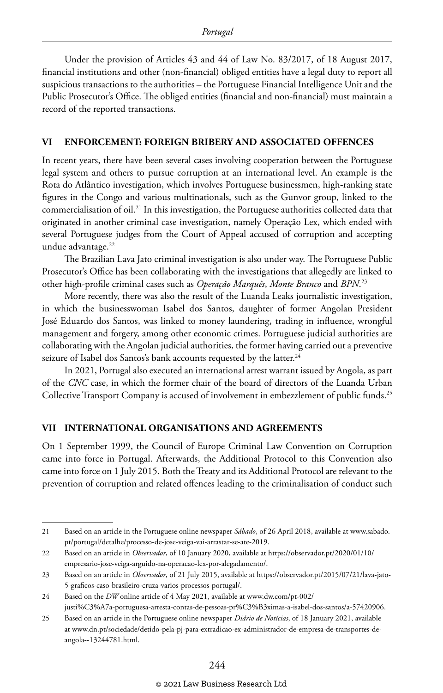Under the provision of Articles 43 and 44 of Law No. 83/2017, of 18 August 2017, financial institutions and other (non-financial) obliged entities have a legal duty to report all suspicious transactions to the authorities – the Portuguese Financial Intelligence Unit and the Public Prosecutor's Office. The obliged entities (financial and non-financial) must maintain a record of the reported transactions.

#### **VI ENFORCEMENT: FOREIGN BRIBERY AND ASSOCIATED OFFENCES**

In recent years, there have been several cases involving cooperation between the Portuguese legal system and others to pursue corruption at an international level. An example is the Rota do Atlântico investigation, which involves Portuguese businessmen, high-ranking state figures in the Congo and various multinationals, such as the Gunvor group, linked to the commercialisation of oil.21 In this investigation, the Portuguese authorities collected data that originated in another criminal case investigation, namely Operação Lex, which ended with several Portuguese judges from the Court of Appeal accused of corruption and accepting undue advantage.<sup>22</sup>

The Brazilian Lava Jato criminal investigation is also under way. The Portuguese Public Prosecutor's Office has been collaborating with the investigations that allegedly are linked to other high-profile criminal cases such as *Operação Marquês*, *Monte Branco* and *BPN*. 23

More recently, there was also the result of the Luanda Leaks journalistic investigation, in which the businesswoman Isabel dos Santos, daughter of former Angolan President José Eduardo dos Santos, was linked to money laundering, trading in influence, wrongful management and forgery, among other economic crimes. Portuguese judicial authorities are collaborating with the Angolan judicial authorities, the former having carried out a preventive seizure of Isabel dos Santos's bank accounts requested by the latter.<sup>24</sup>

In 2021, Portugal also executed an international arrest warrant issued by Angola, as part of the *CNC* case, in which the former chair of the board of directors of the Luanda Urban Collective Transport Company is accused of involvement in embezzlement of public funds.<sup>25</sup>

#### **VII INTERNATIONAL ORGANISATIONS AND AGREEMENTS**

On 1 September 1999, the Council of Europe Criminal Law Convention on Corruption came into force in Portugal. Afterwards, the Additional Protocol to this Convention also came into force on 1 July 2015. Both the Treaty and its Additional Protocol are relevant to the prevention of corruption and related offences leading to the criminalisation of conduct such

<sup>21</sup> Based on an article in the Portuguese online newspaper *Sábado*, of 26 April 2018, available at www.sabado. pt/portugal/detalhe/processo-de-jose-veiga-vai-arrastar-se-ate-2019.

<sup>22</sup> Based on an article in *Observador*, of 10 January 2020, available at https://observador.pt/2020/01/10/ empresario-jose-veiga-arguido-na-operacao-lex-por-alegadamento/.

<sup>23</sup> Based on an article in *Observador*, of 21 July 2015, available at https://observador.pt/2015/07/21/lava-jato-5-graficos-caso-brasileiro-cruza-varios-processos-portugal/.

<sup>24</sup> Based on the *DW* online article of 4 May 2021, available at www.dw.com/pt-002/ justi%C3%A7a-portuguesa-arresta-contas-de-pessoas-pr%C3%B3ximas-a-isabel-dos-santos/a-57420906.

<sup>25</sup> Based on an article in the Portuguese online newspaper *Diário de Notícias*, of 18 January 2021, available at www.dn.pt/sociedade/detido-pela-pj-para-extradicao-ex-administrador-de-empresa-de-transportes-deangola--13244781.html.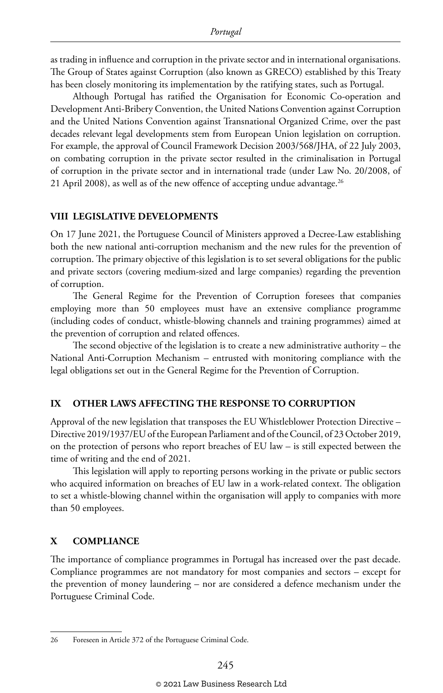as trading in influence and corruption in the private sector and in international organisations. The Group of States against Corruption (also known as GRECO) established by this Treaty has been closely monitoring its implementation by the ratifying states, such as Portugal.

Although Portugal has ratified the Organisation for Economic Co-operation and Development Anti-Bribery Convention, the United Nations Convention against Corruption and the United Nations Convention against Transnational Organized Crime, over the past decades relevant legal developments stem from European Union legislation on corruption. For example, the approval of Council Framework Decision 2003/568/JHA, of 22 July 2003, on combating corruption in the private sector resulted in the criminalisation in Portugal of corruption in the private sector and in international trade (under Law No. 20/2008, of 21 April 2008), as well as of the new offence of accepting undue advantage.<sup>26</sup>

#### **VIII LEGISLATIVE DEVELOPMENTS**

On 17 June 2021, the Portuguese Council of Ministers approved a Decree-Law establishing both the new national anti-corruption mechanism and the new rules for the prevention of corruption. The primary objective of this legislation is to set several obligations for the public and private sectors (covering medium-sized and large companies) regarding the prevention of corruption.

The General Regime for the Prevention of Corruption foresees that companies employing more than 50 employees must have an extensive compliance programme (including codes of conduct, whistle-blowing channels and training programmes) aimed at the prevention of corruption and related offences.

The second objective of the legislation is to create a new administrative authority – the National Anti-Corruption Mechanism – entrusted with monitoring compliance with the legal obligations set out in the General Regime for the Prevention of Corruption.

#### **IX OTHER LAWS AFFECTING THE RESPONSE TO CORRUPTION**

Approval of the new legislation that transposes the EU Whistleblower Protection Directive – Directive 2019/1937/EU of the European Parliament and of the Council, of 23 October 2019, on the protection of persons who report breaches of EU law – is still expected between the time of writing and the end of 2021.

This legislation will apply to reporting persons working in the private or public sectors who acquired information on breaches of EU law in a work-related context. The obligation to set a whistle-blowing channel within the organisation will apply to companies with more than 50 employees.

#### **X COMPLIANCE**

The importance of compliance programmes in Portugal has increased over the past decade. Compliance programmes are not mandatory for most companies and sectors – except for the prevention of money laundering – nor are considered a defence mechanism under the Portuguese Criminal Code.

<sup>26</sup> Foreseen in Article 372 of the Portuguese Criminal Code.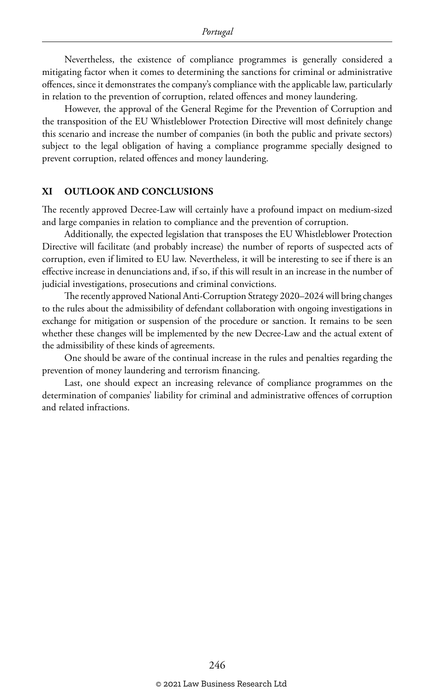Nevertheless, the existence of compliance programmes is generally considered a mitigating factor when it comes to determining the sanctions for criminal or administrative offences, since it demonstrates the company's compliance with the applicable law, particularly in relation to the prevention of corruption, related offences and money laundering.

However, the approval of the General Regime for the Prevention of Corruption and the transposition of the EU Whistleblower Protection Directive will most definitely change this scenario and increase the number of companies (in both the public and private sectors) subject to the legal obligation of having a compliance programme specially designed to prevent corruption, related offences and money laundering.

#### **XI OUTLOOK AND CONCLUSIONS**

The recently approved Decree-Law will certainly have a profound impact on medium-sized and large companies in relation to compliance and the prevention of corruption.

Additionally, the expected legislation that transposes the EU Whistleblower Protection Directive will facilitate (and probably increase) the number of reports of suspected acts of corruption, even if limited to EU law. Nevertheless, it will be interesting to see if there is an effective increase in denunciations and, if so, if this will result in an increase in the number of judicial investigations, prosecutions and criminal convictions.

The recently approved National Anti-Corruption Strategy 2020–2024 will bring changes to the rules about the admissibility of defendant collaboration with ongoing investigations in exchange for mitigation or suspension of the procedure or sanction. It remains to be seen whether these changes will be implemented by the new Decree-Law and the actual extent of the admissibility of these kinds of agreements.

One should be aware of the continual increase in the rules and penalties regarding the prevention of money laundering and terrorism financing.

Last, one should expect an increasing relevance of compliance programmes on the determination of companies' liability for criminal and administrative offences of corruption and related infractions.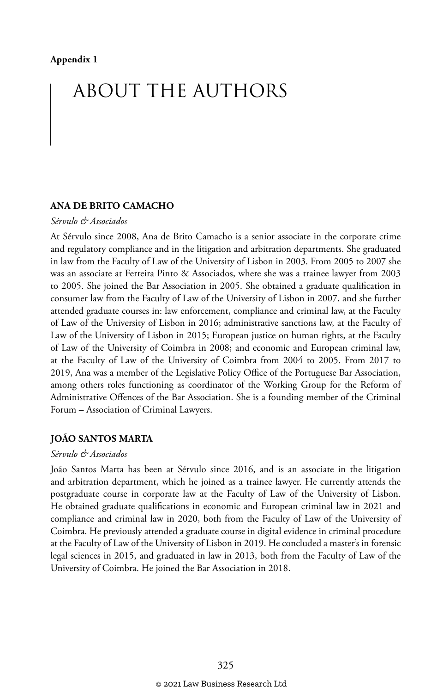# ABOUT THE AUTHORS

#### **ANA DE BRITO CAMACHO**

#### *Sérvulo & Associados*

At Sérvulo since 2008, Ana de Brito Camacho is a senior associate in the corporate crime and regulatory compliance and in the litigation and arbitration departments. She graduated in law from the Faculty of Law of the University of Lisbon in 2003. From 2005 to 2007 she was an associate at Ferreira Pinto & Associados, where she was a trainee lawyer from 2003 to 2005. She joined the Bar Association in 2005. She obtained a graduate qualification in consumer law from the Faculty of Law of the University of Lisbon in 2007, and she further attended graduate courses in: law enforcement, compliance and criminal law, at the Faculty of Law of the University of Lisbon in 2016; administrative sanctions law, at the Faculty of Law of the University of Lisbon in 2015; European justice on human rights, at the Faculty of Law of the University of Coimbra in 2008; and economic and European criminal law, at the Faculty of Law of the University of Coimbra from 2004 to 2005. From 2017 to 2019, Ana was a member of the Legislative Policy Office of the Portuguese Bar Association, among others roles functioning as coordinator of the Working Group for the Reform of Administrative Offences of the Bar Association. She is a founding member of the Criminal Forum – Association of Criminal Lawyers.

#### **JOÃO SANTOS MARTA**

#### *Sérvulo & Associados*

João Santos Marta has been at Sérvulo since 2016, and is an associate in the litigation and arbitration department, which he joined as a trainee lawyer. He currently attends the postgraduate course in corporate law at the Faculty of Law of the University of Lisbon. He obtained graduate qualifications in economic and European criminal law in 2021 and compliance and criminal law in 2020, both from the Faculty of Law of the University of Coimbra. He previously attended a graduate course in digital evidence in criminal procedure at the Faculty of Law of the University of Lisbon in 2019. He concluded a master's in forensic legal sciences in 2015, and graduated in law in 2013, both from the Faculty of Law of the University of Coimbra. He joined the Bar Association in 2018.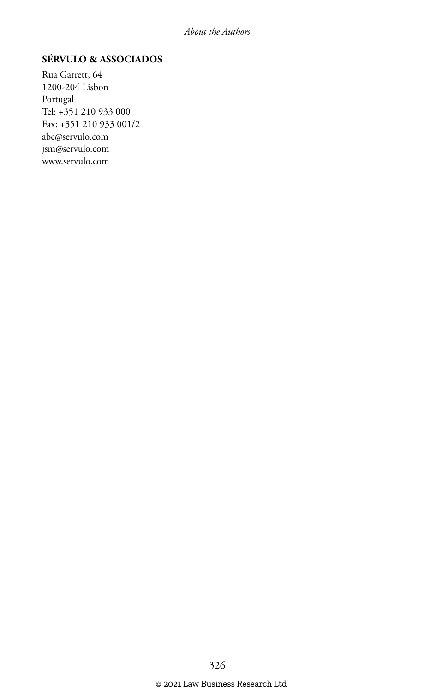#### **SÉRVULO & ASSOCIADOS**

Rua Garrett, 64 1200-204 Lisbon Portugal Tel: +351 210 933 000 Fax: +351 210 933 001/2 abc@servulo.com jsm@servulo.com www.servulo.com